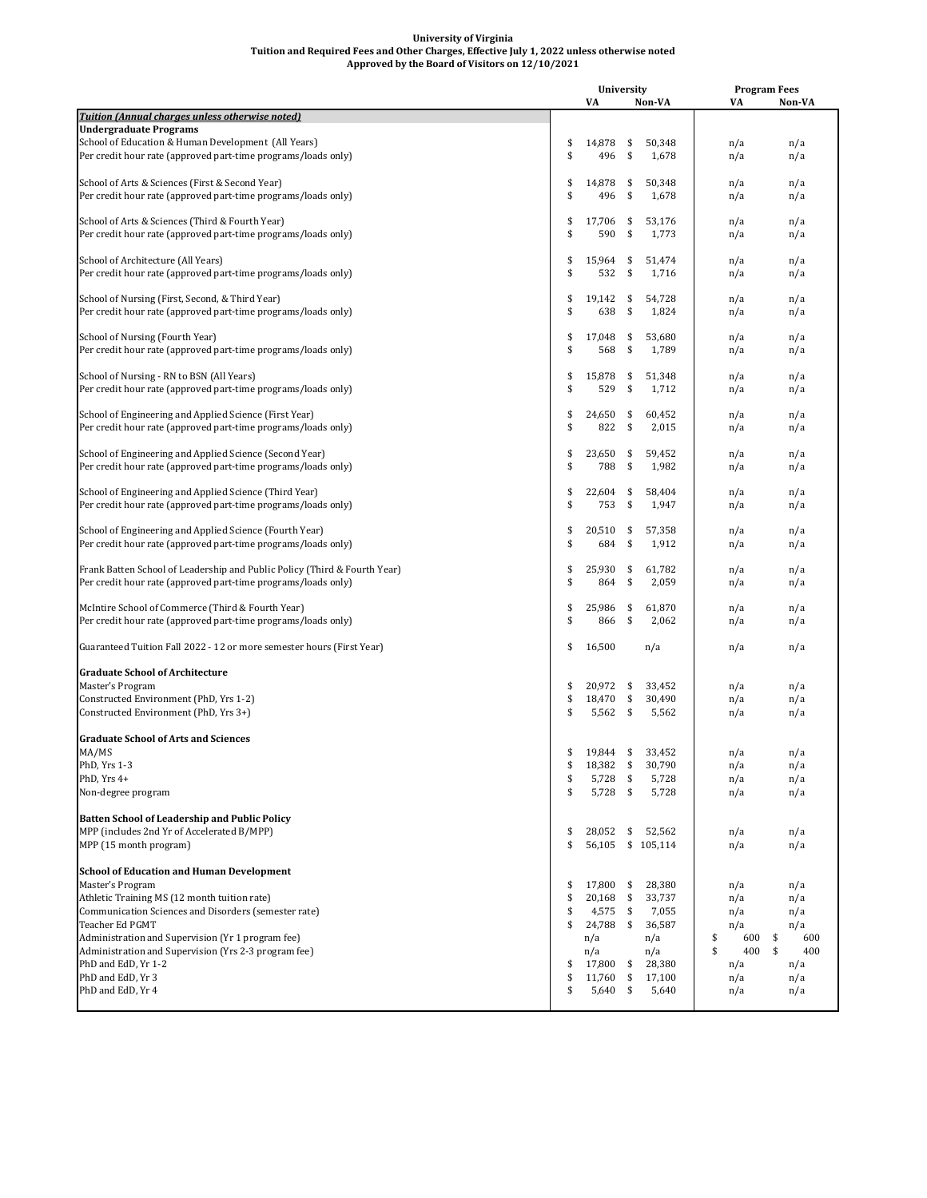|                                                                                                                                            |          | <b>University</b> |          |                 | <b>Program Fees</b><br>VA |            |  |  |  |
|--------------------------------------------------------------------------------------------------------------------------------------------|----------|-------------------|----------|-----------------|---------------------------|------------|--|--|--|
|                                                                                                                                            |          | VA                |          | Non-VA          |                           | Non-VA     |  |  |  |
| Tuition (Annual charges unless otherwise noted)<br><b>Undergraduate Programs</b>                                                           |          |                   |          |                 |                           |            |  |  |  |
| School of Education & Human Development (All Years)                                                                                        | \$       | 14,878            | \$       | 50,348          | n/a                       | n/a        |  |  |  |
| Per credit hour rate (approved part-time programs/loads only)                                                                              | \$       | 496               | \$       | 1,678           | n/a                       | n/a        |  |  |  |
|                                                                                                                                            |          |                   |          |                 |                           |            |  |  |  |
| School of Arts & Sciences (First & Second Year)                                                                                            | \$       | 14,878            | \$       | 50,348          | n/a                       | n/a        |  |  |  |
| Per credit hour rate (approved part-time programs/loads only)                                                                              | \$       | 496               | \$       | 1,678           | n/a                       | n/a        |  |  |  |
|                                                                                                                                            |          |                   |          |                 |                           |            |  |  |  |
| School of Arts & Sciences (Third & Fourth Year)                                                                                            | \$       | 17,706            | \$       | 53,176          | n/a                       | n/a        |  |  |  |
| Per credit hour rate (approved part-time programs/loads only)                                                                              | \$       | 590               | \$       | 1,773           | n/a                       | n/a        |  |  |  |
| School of Architecture (All Years)                                                                                                         | \$       | 15,964            | \$       | 51,474          | n/a                       | n/a        |  |  |  |
| Per credit hour rate (approved part-time programs/loads only)                                                                              | \$       | 532               | \$       | 1,716           | n/a                       | n/a        |  |  |  |
|                                                                                                                                            |          |                   |          |                 |                           |            |  |  |  |
| School of Nursing (First, Second, & Third Year)                                                                                            | \$       | 19,142            | \$       | 54,728          | n/a                       | n/a        |  |  |  |
| Per credit hour rate (approved part-time programs/loads only)                                                                              | \$       | 638               | \$       | 1,824           | n/a                       | n/a        |  |  |  |
|                                                                                                                                            |          |                   |          |                 |                           |            |  |  |  |
| School of Nursing (Fourth Year)                                                                                                            | \$<br>\$ | 17,048<br>568     | \$<br>\$ | 53,680<br>1,789 | n/a                       | n/a        |  |  |  |
| Per credit hour rate (approved part-time programs/loads only)                                                                              |          |                   |          |                 | n/a                       | n/a        |  |  |  |
| School of Nursing - RN to BSN (All Years)                                                                                                  | \$       | 15,878            | \$       | 51,348          | n/a                       | n/a        |  |  |  |
| Per credit hour rate (approved part-time programs/loads only)                                                                              | \$       | 529               | \$       | 1,712           | n/a                       | n/a        |  |  |  |
|                                                                                                                                            |          |                   |          |                 |                           |            |  |  |  |
| School of Engineering and Applied Science (First Year)                                                                                     | \$       | 24,650            | \$       | 60,452          | n/a                       | n/a        |  |  |  |
| Per credit hour rate (approved part-time programs/loads only)                                                                              | \$       | 822               | \$       | 2,015           | n/a                       | n/a        |  |  |  |
|                                                                                                                                            |          |                   |          |                 |                           |            |  |  |  |
| School of Engineering and Applied Science (Second Year)<br>Per credit hour rate (approved part-time programs/loads only)                   | \$<br>\$ | 23,650<br>788     | \$<br>\$ | 59,452<br>1,982 | n/a                       | n/a        |  |  |  |
|                                                                                                                                            |          |                   |          |                 | n/a                       | n/a        |  |  |  |
| School of Engineering and Applied Science (Third Year)                                                                                     | \$       | 22,604            | \$       | 58,404          | n/a                       | n/a        |  |  |  |
| Per credit hour rate (approved part-time programs/loads only)                                                                              | \$       | 753               | \$       | 1,947           | n/a                       | n/a        |  |  |  |
|                                                                                                                                            |          |                   |          |                 |                           |            |  |  |  |
| School of Engineering and Applied Science (Fourth Year)                                                                                    | \$       | 20,510            | \$       | 57,358          | n/a                       | n/a        |  |  |  |
| Per credit hour rate (approved part-time programs/loads only)                                                                              | \$       | 684               | \$       | 1,912           | n/a                       | n/a        |  |  |  |
|                                                                                                                                            | \$       |                   |          |                 |                           |            |  |  |  |
| Frank Batten School of Leadership and Public Policy (Third & Fourth Year)<br>Per credit hour rate (approved part-time programs/loads only) | \$       | 25,930<br>864     | \$<br>\$ | 61,782<br>2,059 | n/a<br>n/a                | n/a<br>n/a |  |  |  |
|                                                                                                                                            |          |                   |          |                 |                           |            |  |  |  |
| McIntire School of Commerce (Third & Fourth Year)                                                                                          | \$       | 25,986            | \$       | 61,870          | n/a                       | n/a        |  |  |  |
| Per credit hour rate (approved part-time programs/loads only)                                                                              | \$       | 866               | \$       | 2,062           | n/a                       | n/a        |  |  |  |
|                                                                                                                                            |          |                   |          |                 |                           |            |  |  |  |
| Guaranteed Tuition Fall 2022 - 12 or more semester hours (First Year)                                                                      | \$       | 16,500            |          | n/a             | n/a                       | n/a        |  |  |  |
| <b>Graduate School of Architecture</b>                                                                                                     |          |                   |          |                 |                           |            |  |  |  |
| Master's Program                                                                                                                           | \$       | 20,972 \$         |          | 33,452          | n/a                       | n/a        |  |  |  |
| Constructed Environment (PhD, Yrs 1-2)                                                                                                     | \$       | 18,470 \$         |          | 30,490          | n/a                       | n/a        |  |  |  |
| Constructed Environment (PhD, Yrs 3+)                                                                                                      | \$       | $5,562$ \$        |          | 5,562           | n/a                       | n/a        |  |  |  |
|                                                                                                                                            |          |                   |          |                 |                           |            |  |  |  |
| <b>Graduate School of Arts and Sciences</b>                                                                                                |          |                   |          |                 |                           |            |  |  |  |
| MA/MS                                                                                                                                      | \$       | 19,844            | \$       | 33,452          | n/a                       | n/a        |  |  |  |
| PhD, Yrs 1-3                                                                                                                               | ₹        | 18,382            | P.       | 30,790          | n/a                       | n/a        |  |  |  |
| PhD, Yrs 4+                                                                                                                                | \$       | 5,728             | \$       | 5,728           | n/a                       | n/a        |  |  |  |
| Non-degree program                                                                                                                         | \$       | 5,728             | \$       | 5,728           | n/a                       | n/a        |  |  |  |
| <b>Batten School of Leadership and Public Policy</b>                                                                                       |          |                   |          |                 |                           |            |  |  |  |
| MPP (includes 2nd Yr of Accelerated B/MPP)                                                                                                 | \$       | 28,052            | \$       | 52,562          | n/a                       | n/a        |  |  |  |
| MPP (15 month program)                                                                                                                     | \$       | 56,105            |          | \$105,114       | n/a                       | n/a        |  |  |  |
|                                                                                                                                            |          |                   |          |                 |                           |            |  |  |  |
| <b>School of Education and Human Development</b>                                                                                           |          |                   |          |                 |                           |            |  |  |  |
| Master's Program                                                                                                                           | \$       | 17,800            | \$       | 28,380          | n/a                       | n/a        |  |  |  |
| Athletic Training MS (12 month tuition rate)                                                                                               | \$       | 20,168            | \$       | 33,737          | n/a                       | n/a        |  |  |  |
| Communication Sciences and Disorders (semester rate)                                                                                       | \$       | 4,575             | \$       | 7,055           | n/a                       | n/a        |  |  |  |
| Teacher Ed PGMT                                                                                                                            | \$       | 24,788            | \$       | 36,587          | n/a                       | n/a        |  |  |  |
| Administration and Supervision (Yr 1 program fee)                                                                                          |          | n/a               |          | n/a             | \$<br>600                 | 600<br>\$  |  |  |  |
| Administration and Supervision (Yrs 2-3 program fee)<br>PhD and EdD, Yr 1-2                                                                | \$       | n/a<br>17,800     | \$       | n/a<br>28,380   | \$<br>400                 | \$<br>400  |  |  |  |
| PhD and EdD, Yr 3                                                                                                                          | \$       | 11,760            | \$       | 17,100          | n/a<br>n/a                | n/a<br>n/a |  |  |  |
| PhD and EdD, Yr 4                                                                                                                          | \$       | 5,640             | \$       | 5,640           | n/a                       | n/a        |  |  |  |
|                                                                                                                                            |          |                   |          |                 |                           |            |  |  |  |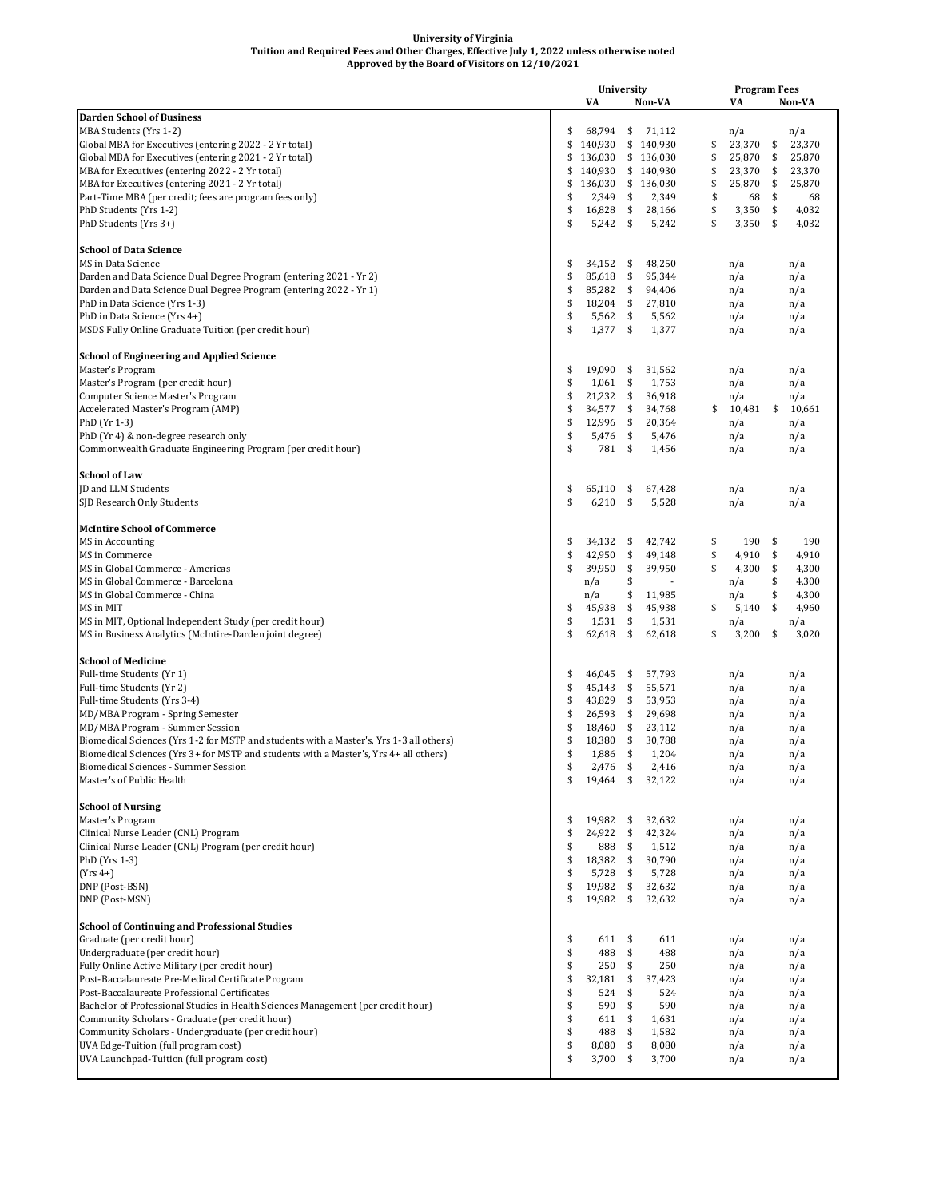|                                                                                         | University<br>VA<br>Non-VA |            |            | <b>Program Fees</b><br>VA<br>Non-VA |              |     |        |
|-----------------------------------------------------------------------------------------|----------------------------|------------|------------|-------------------------------------|--------------|-----|--------|
| <b>Darden School of Business</b>                                                        |                            |            |            |                                     |              |     |        |
| MBA Students (Yrs 1-2)                                                                  | \$                         | 68,794     | \$         | 71,112                              | n/a          |     | n/a    |
| Global MBA for Executives (entering 2022 - 2 Yr total)                                  |                            | \$140,930  |            | \$140,930                           | \$<br>23,370 | \$  | 23,370 |
| Global MBA for Executives (entering 2021 - 2 Yr total)                                  | \$                         | 136,030    |            | \$136,030                           | \$<br>25,870 | \$  | 25,870 |
| MBA for Executives (entering 2022 - 2 Yr total)                                         | \$                         | 140,930    |            | \$140,930                           | \$<br>23,370 | -\$ | 23,370 |
| MBA for Executives (entering 2021 - 2 Yr total)                                         | \$                         | 136,030    |            | \$136,030                           | \$<br>25,870 | \$  | 25,870 |
| Part-Time MBA (per credit; fees are program fees only)                                  | \$                         | 2,349      | \$         | 2,349                               | \$<br>68     | \$  | 68     |
| PhD Students (Yrs 1-2)                                                                  | \$                         | 16,828     | \$         | 28,166                              | \$<br>3,350  | \$  | 4,032  |
| PhD Students (Yrs 3+)                                                                   | \$                         | $5,242$ \$ |            | 5,242                               | \$<br>3,350  | -\$ | 4,032  |
|                                                                                         |                            |            |            |                                     |              |     |        |
| <b>School of Data Science</b>                                                           |                            |            |            |                                     |              |     |        |
| MS in Data Science                                                                      | \$                         | 34,152     | \$         | 48,250                              | n/a          |     | n/a    |
| Darden and Data Science Dual Degree Program (entering 2021 - Yr 2)                      | \$                         | 85,618     | \$         | 95,344                              | n/a          |     | n/a    |
| Darden and Data Science Dual Degree Program (entering 2022 - Yr 1)                      | \$                         | 85,282     | \$         | 94,406                              | n/a          |     | n/a    |
| PhD in Data Science (Yrs 1-3)                                                           | \$                         | 18,204     | \$         | 27,810                              | n/a          |     | n/a    |
| PhD in Data Science (Yrs 4+)                                                            | \$                         | $5,562$ \$ |            | 5,562                               | n/a          |     | n/a    |
| MSDS Fully Online Graduate Tuition (per credit hour)                                    | \$                         | $1,377$ \$ |            | 1,377                               | n/a          |     | n/a    |
|                                                                                         |                            |            |            |                                     |              |     |        |
| School of Engineering and Applied Science                                               |                            |            |            |                                     |              |     |        |
| Master's Program                                                                        | \$                         | 19,090     | \$         | 31,562                              | n/a          |     | n/a    |
| Master's Program (per credit hour)                                                      | \$                         | 1,061      | \$         | 1,753                               | n/a          |     | n/a    |
| Computer Science Master's Program                                                       | \$                         | 21,232     | \$         | 36,918                              | n/a          |     | n/a    |
| Accelerated Master's Program (AMP)                                                      | \$                         | 34,577     | \$         | 34,768                              | \$<br>10,481 | \$  | 10,661 |
| PhD (Yr 1-3)                                                                            | \$                         | 12,996     | \$         | 20,364                              | n/a          |     | n/a    |
| PhD (Yr 4) & non-degree research only                                                   | \$                         | 5,476      | \$         | 5,476                               | n/a          |     | n/a    |
| Commonwealth Graduate Engineering Program (per credit hour)                             | \$                         | 781        | \$         | 1,456                               | n/a          |     | n/a    |
|                                                                                         |                            |            |            |                                     |              |     |        |
| <b>School of Law</b>                                                                    |                            |            |            |                                     |              |     |        |
| <b>ID and LLM Students</b>                                                              | \$                         | 65,110     | \$         | 67,428                              | n/a          |     | n/a    |
| SJD Research Only Students                                                              | \$                         | 6,210      | \$         | 5,528                               | n/a          |     | n/a    |
|                                                                                         |                            |            |            |                                     |              |     |        |
| <b>McIntire School of Commerce</b>                                                      |                            |            |            |                                     |              |     |        |
| MS in Accounting                                                                        | \$                         | 34,132     | \$         | 42,742                              | \$<br>190    | \$  | 190    |
| MS in Commerce                                                                          | \$                         | 42,950     | \$         | 49,148                              | \$<br>4,910  | \$  | 4,910  |
| MS in Global Commerce - Americas                                                        | \$                         | 39,950     | \$         | 39,950                              | \$<br>4,300  | \$  | 4,300  |
| MS in Global Commerce - Barcelona                                                       |                            | n/a        | \$         |                                     | n/a          | \$  | 4,300  |
| MS in Global Commerce - China                                                           |                            | n/a        | \$         | 11,985                              | n/a          | \$  | 4,300  |
| MS in MIT                                                                               | \$                         | 45,938     | \$         | 45,938                              | \$<br>5,140  | \$  | 4,960  |
| MS in MIT, Optional Independent Study (per credit hour)                                 | \$                         | 1,531      | \$         | 1,531                               | n/a          |     | n/a    |
| MS in Business Analytics (McIntire-Darden joint degree)                                 | \$                         | 62,618     | \$         | 62,618                              | \$<br>3,200  | \$  | 3,020  |
|                                                                                         |                            |            |            |                                     |              |     |        |
| <b>School of Medicine</b>                                                               |                            |            |            |                                     |              |     |        |
| Full-time Students (Yr 1)                                                               | \$                         | 46,045     | \$         | 57,793                              | n/a          |     | n/a    |
| Full-time Students (Yr 2)                                                               | \$                         | 45,143     | \$         | 55,571                              | n/a          |     | n/a    |
| Full-time Students (Yrs 3-4)                                                            | \$                         | 43,829     | \$         | 53,953                              | n/a          |     | n/a    |
| MD/MBA Program - Spring Semester                                                        | \$                         | 26,593     | \$         | 29,698                              | n/a          |     | n/a    |
| MD/MBA Program - Summer Session                                                         | \$                         | 18,460     | \$         | 23,112                              | n/a          |     | n/a    |
| Biomedical Sciences (Yrs 1-2 for MSTP and students with a Master's, Yrs 1-3 all others) | \$                         | 18,380     | \$         | 30,788                              | n/a          |     | n/a    |
| Biomedical Sciences (Yrs 3+ for MSTP and students with a Master's, Yrs 4+ all others)   | \$                         | 1,886      | \$         | 1,204                               | n/a          |     | n/a    |
| Biomedical Sciences - Summer Session                                                    | \$                         | 2,476      | \$         | 2,416                               | n/a          |     | n/a    |
| Master's of Public Health                                                               | \$                         | 19,464     | \$         | 32,122                              | n/a          |     | n/a    |
|                                                                                         |                            |            |            |                                     |              |     |        |
| <b>School of Nursing</b>                                                                |                            |            |            |                                     |              |     |        |
| Master's Program                                                                        | \$                         | 19,982     | \$         | 32,632                              | n/a          |     | n/a    |
| Clinical Nurse Leader (CNL) Program                                                     | \$                         | 24,922 \$  |            | 42,324                              | n/a          |     | n/a    |
| Clinical Nurse Leader (CNL) Program (per credit hour)                                   | \$                         | 888 \$     |            | 1,512                               | n/a          |     | n/a    |
| PhD (Yrs 1-3)                                                                           | \$                         | 18,382 \$  |            | 30,790                              | n/a          |     | n/a    |
| $(Yrs 4+)$                                                                              | \$                         | 5,728 \$   |            | 5,728                               | n/a          |     | n/a    |
| DNP (Post-BSN)                                                                          | \$                         | 19,982 \$  |            | 32,632                              | n/a          |     | n/a    |
| DNP (Post-MSN)                                                                          | \$                         | 19,982     | \$         | 32,632                              | n/a          |     | n/a    |
|                                                                                         |                            |            |            |                                     |              |     |        |
| <b>School of Continuing and Professional Studies</b>                                    |                            |            |            |                                     |              |     |        |
| Graduate (per credit hour)                                                              | \$                         | 611        | \$         | 611                                 | n/a          |     | n/a    |
| Undergraduate (per credit hour)                                                         | \$                         | 488        | $\sqrt{5}$ | 488                                 | n/a          |     | n/a    |
| Fully Online Active Military (per credit hour)                                          | \$                         | $250$ \$   |            | 250                                 | n/a          |     | n/a    |
| Post-Baccalaureate Pre-Medical Certificate Program                                      | \$                         | 32,181 \$  |            | 37,423                              | n/a          |     | n/a    |
| Post-Baccalaureate Professional Certificates                                            | \$                         | 524        | \$         | 524                                 | n/a          |     | n/a    |
| Bachelor of Professional Studies in Health Sciences Management (per credit hour)        | \$                         | 590        | \$         | 590                                 | n/a          |     | n/a    |
| Community Scholars - Graduate (per credit hour)                                         | \$                         | 611 \$     |            | 1,631                               | n/a          |     | n/a    |
| Community Scholars - Undergraduate (per credit hour)                                    | \$                         | 488 \$     |            | 1,582                               | n/a          |     | n/a    |
| UVA Edge-Tuition (full program cost)                                                    | \$                         | $8,080$ \$ |            | 8,080                               | n/a          |     | n/a    |
| UVA Launchpad-Tuition (full program cost)                                               | \$                         | $3,700$ \$ |            | 3,700                               | n/a          |     | n/a    |
|                                                                                         |                            |            |            |                                     |              |     |        |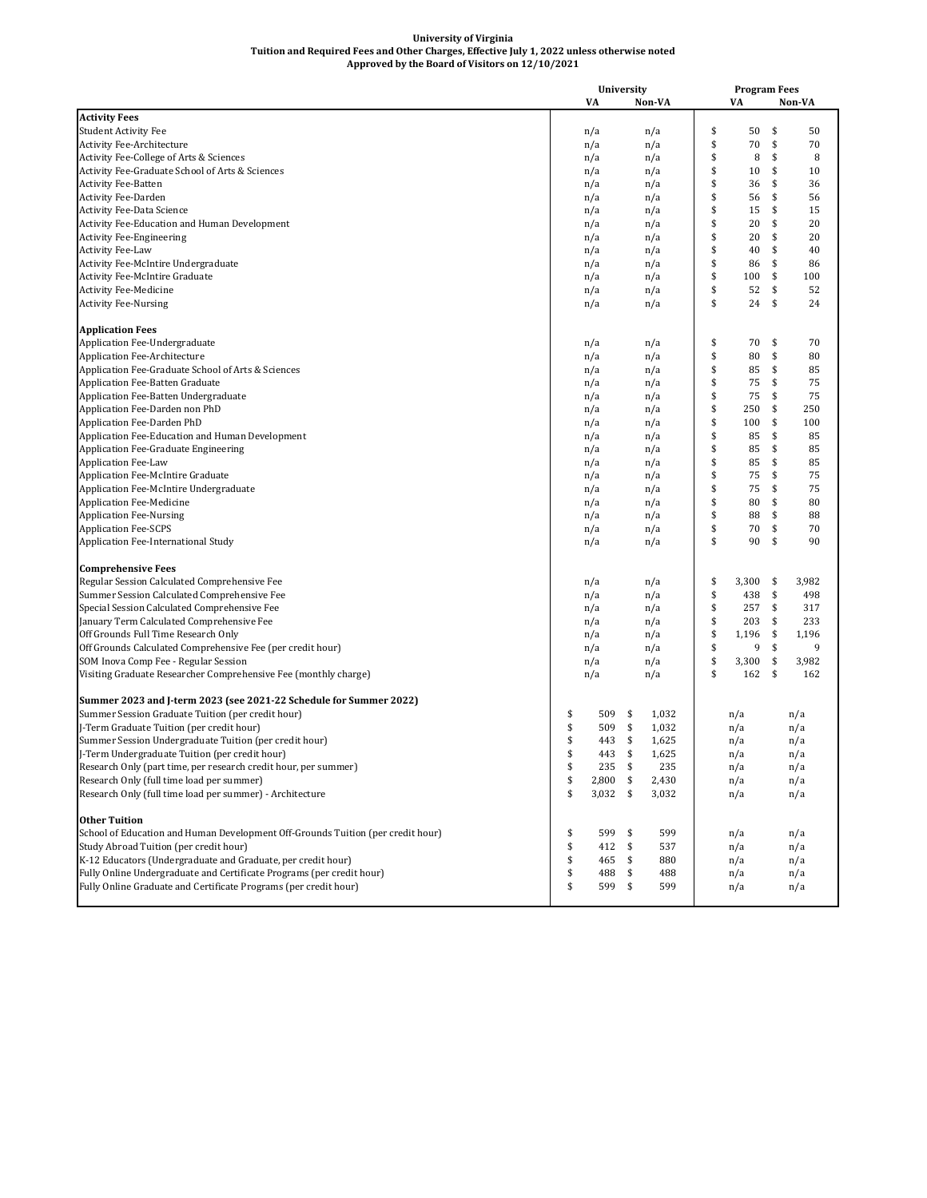|                                                                                 | University |            |    | <b>Program Fees</b> |             |    |        |
|---------------------------------------------------------------------------------|------------|------------|----|---------------------|-------------|----|--------|
|                                                                                 |            | VA         |    | Non-VA              | VA          |    | Non-VA |
| <b>Activity Fees</b>                                                            |            |            |    |                     |             |    |        |
| <b>Student Activity Fee</b>                                                     |            | n/a        |    | n/a                 | \$<br>50    | \$ | 50     |
| Activity Fee-Architecture                                                       |            | n/a        |    | n/a                 | \$<br>70    | \$ | 70     |
| Activity Fee-College of Arts & Sciences                                         |            | n/a        |    | n/a                 | \$<br>8     | \$ | 8      |
| Activity Fee-Graduate School of Arts & Sciences                                 |            | n/a        |    | n/a                 | \$<br>10    | \$ | 10     |
| <b>Activity Fee-Batten</b>                                                      |            | n/a        |    | n/a                 | \$<br>36    | \$ | 36     |
| <b>Activity Fee-Darden</b>                                                      |            | n/a        |    | n/a                 | \$<br>56    | \$ | 56     |
| Activity Fee-Data Science                                                       |            | n/a        |    | n/a                 | \$<br>15    | \$ | 15     |
| Activity Fee-Education and Human Development                                    |            | n/a        |    | n/a                 | \$<br>20    | \$ | 20     |
| Activity Fee-Engineering                                                        |            | n/a        |    | n/a                 | \$<br>20    | \$ | 20     |
| <b>Activity Fee-Law</b>                                                         |            | n/a        |    | n/a                 | \$<br>40    | \$ | 40     |
| Activity Fee-McIntire Undergraduate                                             |            | n/a        |    | n/a                 | \$<br>86    | \$ | 86     |
| Activity Fee-McIntire Graduate                                                  |            | n/a        |    | n/a                 | \$<br>100   | \$ | 100    |
| <b>Activity Fee-Medicine</b>                                                    |            | n/a        |    | n/a                 | \$<br>52    | \$ | 52     |
| <b>Activity Fee-Nursing</b>                                                     |            | n/a        |    | n/a                 | \$<br>24    | \$ | 24     |
| <b>Application Fees</b>                                                         |            |            |    |                     |             |    |        |
| Application Fee-Undergraduate                                                   |            | n/a        |    | n/a                 | \$<br>70    | \$ | 70     |
| Application Fee-Architecture                                                    |            | n/a        |    | n/a                 | \$<br>80    | \$ | 80     |
| Application Fee-Graduate School of Arts & Sciences                              |            | n/a        |    | n/a                 | \$<br>85    | \$ | 85     |
| Application Fee-Batten Graduate                                                 |            | n/a        |    | n/a                 | \$<br>75    | \$ | 75     |
| Application Fee-Batten Undergraduate                                            |            | n/a        |    | n/a                 | \$<br>75    | \$ | 75     |
| Application Fee-Darden non PhD                                                  |            | n/a        |    | n/a                 | \$<br>250   | \$ | 250    |
| Application Fee-Darden PhD                                                      |            | n/a        |    | n/a                 | \$<br>100   | \$ | 100    |
| Application Fee-Education and Human Development                                 |            | n/a        |    | n/a                 | \$<br>85    | \$ | 85     |
| Application Fee-Graduate Engineering                                            |            | n/a        |    | n/a                 | \$<br>85    | \$ | 85     |
| <b>Application Fee-Law</b>                                                      |            | n/a        |    | n/a                 | \$<br>85    | \$ | 85     |
| Application Fee-McIntire Graduate                                               |            | n/a        |    | n/a                 | \$<br>75    | \$ | 75     |
| Application Fee-McIntire Undergraduate                                          |            | n/a        |    | n/a                 | \$<br>75    | \$ | 75     |
| <b>Application Fee-Medicine</b>                                                 |            | n/a        |    | n/a                 | \$<br>80    | \$ | 80     |
| <b>Application Fee-Nursing</b>                                                  |            | n/a        |    | n/a                 | \$<br>88    | \$ | 88     |
| <b>Application Fee-SCPS</b>                                                     |            | n/a        |    | n/a                 | \$<br>70    | \$ | 70     |
| Application Fee-International Study                                             |            | n/a        |    | n/a                 | \$<br>90    | \$ | 90     |
| <b>Comprehensive Fees</b>                                                       |            |            |    |                     |             |    |        |
| Regular Session Calculated Comprehensive Fee                                    |            | n/a        |    | n/a                 | \$<br>3,300 | \$ | 3,982  |
| Summer Session Calculated Comprehensive Fee                                     |            | n/a        |    | n/a                 | \$<br>438   | \$ | 498    |
| Special Session Calculated Comprehensive Fee                                    |            | n/a        |    | n/a                 | \$<br>257   | \$ | 317    |
| January Term Calculated Comprehensive Fee                                       |            | n/a        |    | n/a                 | \$<br>203   | \$ | 233    |
| Off Grounds Full Time Research Only                                             |            | n/a        |    | n/a                 | \$<br>1,196 | \$ | 1,196  |
| Off Grounds Calculated Comprehensive Fee (per credit hour)                      |            | n/a        |    | n/a                 | \$<br>9     | \$ | 9      |
| SOM Inova Comp Fee - Regular Session                                            |            | n/a        |    | n/a                 | \$<br>3,300 | \$ | 3,982  |
| Visiting Graduate Researcher Comprehensive Fee (monthly charge)                 |            | n/a        |    | n/a                 | \$<br>162   | \$ | 162    |
| Summer 2023 and J-term 2023 (see 2021-22 Schedule for Summer 2022)              |            |            |    |                     |             |    |        |
| Summer Session Graduate Tuition (per credit hour)                               | \$         | 509        | \$ | 1,032               | n/a         |    | n/a    |
| J-Term Graduate Tuition (per credit hour)                                       | \$         | 509        | \$ | 1,032               | n/a         |    | n/a    |
| Summer Session Undergraduate Tuition (per credit hour)                          | \$         | 443        | \$ | 1,625               | n/a         |    | n/a    |
| J-Term Undergraduate Tuition (per credit hour)                                  | \$         | 443        | \$ | 1,625               | n/a         |    | n/a    |
| Research Only (part time, per research credit hour, per summer)                 | \$         | $235$ \$   |    | 235                 | n/a         |    | n/a    |
| Research Only (full time load per summer)                                       | \$         | $2,800$ \$ |    | 2,430               | n/a         |    | n/a    |
| Research Only (full time load per summer) - Architecture                        | \$         | $3,032$ \$ |    | 3,032               | n/a         |    | n/a    |
| <b>Other Tuition</b>                                                            |            |            |    |                     |             |    |        |
| School of Education and Human Development Off-Grounds Tuition (per credit hour) | \$         | 599        | \$ | 599                 | n/a         |    | n/a    |
| Study Abroad Tuition (per credit hour)                                          | \$         | 412        | \$ | 537                 | n/a         |    | n/a    |
| K-12 Educators (Undergraduate and Graduate, per credit hour)                    | \$         | 465        | \$ | 880                 | n/a         |    | n/a    |
| Fully Online Undergraduate and Certificate Programs (per credit hour)           | \$         | 488        | \$ | 488                 | n/a         |    | n/a    |
| Fully Online Graduate and Certificate Programs (per credit hour)                | \$         | 599 \$     |    | 599                 | n/a         |    | n/a    |
|                                                                                 |            |            |    |                     |             |    |        |